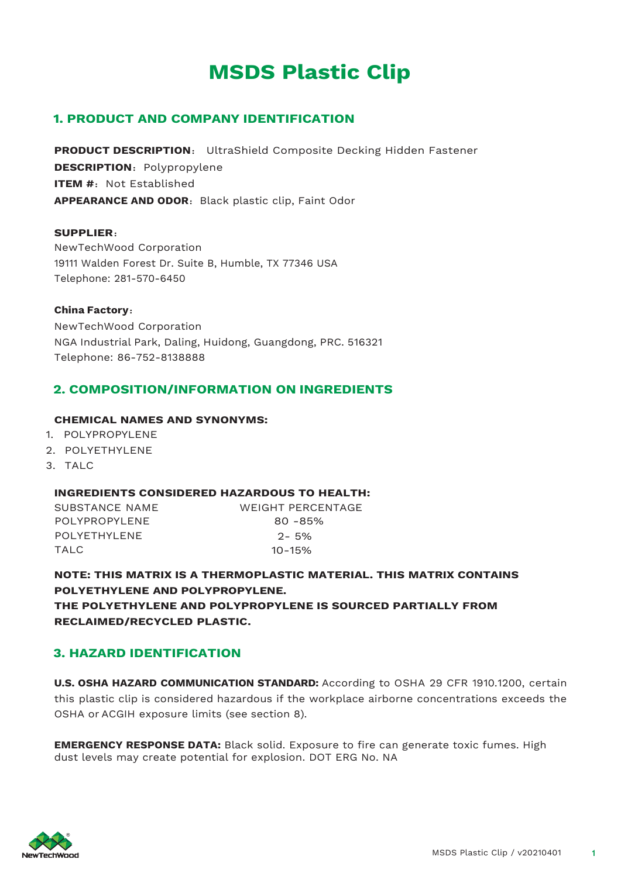# **MSDS Plastic Clip**

# **1. PRODUCT AND COMPANY IDENTIFICATION**

**PRODUCT DESCRIPTION**: UltraShield Composite Decking Hidden Fastener **DESCRIPTION: Polypropylene ITEM #: Not Established** APPEARANCE AND ODOR: Black plastic clip, Faint Odor

#### **SUPPLIER**:

NewTechWood Corporation 19111 Walden Forest Dr. Suite B, Humble, TX 77346 USA Telephone: 281-570-6450

#### **China Factory**:

NewTechWood Corporation NGA Industrial Park, Daling, Huidong, Guangdong, PRC. 516321 Telephone: 86-752-8138888

# **2. COMPOSITION/INFORMATION ON INGREDIENTS**

#### **CHEMICAL NAMES AND SYNONYMS:**

- 1. POLYPROPYLENE
- 2. POLYETHYLENE
- 3. TALC

#### **INGREDIENTS CONSIDERED HAZARDOUS TO HEALTH:**

SUBSTANCE NAME WEIGHT PERCENTAGE POLYPROPYLENE 80-85% POLYETHYLENE 2-5% TALC 10-15%

**NOTE: THIS MATRIX IS A THERMOPLASTIC MATERIAL. THIS MATRIX CONTAINS POLYETHYLENE AND POLYPROPYLENE.**

**THE POLYETHYLENE AND POLYPROPYLENE IS SOURCED PARTIALLY FROM RECLAIMED/RECYCLED PLASTIC.**

# **3. HAZARD IDENTIFICATION**

**U.S. OSHA HAZARD COMMUNICATION STANDARD:** According to OSHA 29 CFR 1910.1200, certain this plastic clip is considered hazardous if the workplace airborne concentrations exceeds the OSHA or ACGIH exposure limits (see section 8).

**EMERGENCY RESPONSE DATA:** Black solid. Exposure to fire can generate toxic fumes. High dust levels may create potential for explosion. DOT ERG No. NA

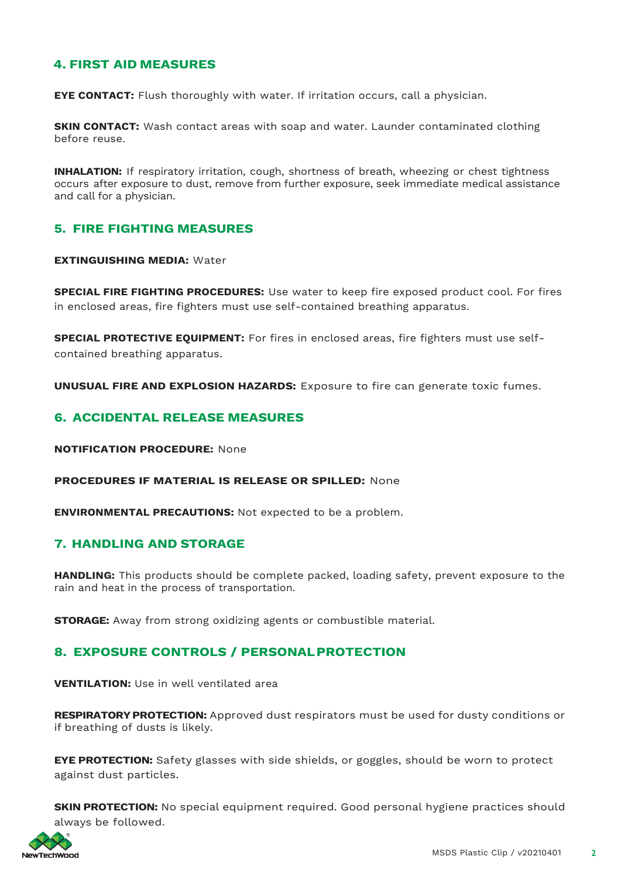# **4. FIRST AID MEASURES**

**EYE CONTACT:** Flush thoroughly with water. If irritation occurs, call a physician.

**SKIN CONTACT:** Wash contact areas with soap and water. Launder contaminated clothing before reuse.

**INHALATION:** If respiratory irritation, cough, shortness of breath, wheezing or chest tightness occurs after exposure to dust, remove from further exposure, seek immediate medical assistance and call for a physician.

# **5. FIRE FIGHTING MEASURES**

#### **EXTINGUISHING MEDIA:** Water

**SPECIAL FIRE FIGHTING PROCEDURES:** Use water to keep fire exposed product cool. For fires in enclosed areas, fire fighters must use self-contained breathing apparatus.

**SPECIAL PROTECTIVE EQUIPMENT:** For fires in enclosed areas, fire fighters must use selfcontained breathing apparatus.

**UNUSUAL FIRE AND EXPLOSION HAZARDS:** Exposure to fire can generate toxic fumes.

# **6. ACCIDENTAL RELEASE MEASURES**

**NOTIFICATION PROCEDURE:** None

**PROCEDURES IF MATERIAL IS RELEASE OR SPILLED:** None

**ENVIRONMENTAL PRECAUTIONS:** Not expected to be a problem.

## **7. HANDLING AND STORAGE**

**HANDLING:** This products should be complete packed, loading safety, prevent exposure to the rain and heat in the process of transportation.

**STORAGE:** Away from strong oxidizing agents or combustible material.

# **8. EXPOSURE CONTROLS / PERSONALPROTECTION**

**VENTILATION:** Use in well ventilated area

**RESPIRATORY PROTECTION:** Approved dust respirators must be used for dusty conditions or if breathing of dusts is likely.

**EYE PROTECTION:** Safety glasses with side shields, or goggles, should be worn to protect against dust particles.

**SKIN PROTECTION:** No special equipment required. Good personal hygiene practices should always be followed.

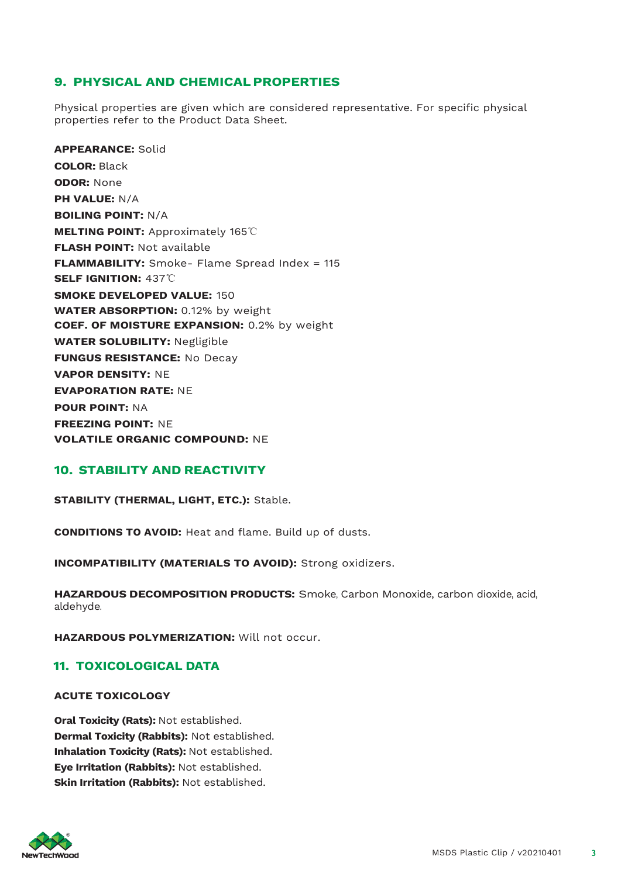# **9. PHYSICAL AND CHEMICALPROPERTIES**

Physical properties are given which are considered representative. For specific physical properties refer to the Product Data Sheet.

**APPEARANCE:** Solid **COLOR:** Black **ODOR:** None **PH VALUE:** N/A **BOILING POINT:** N/A **MELTING POINT:** Approximately 165℃ **FLASH POINT:** Not available **FLAMMABILITY:** Smoke- Flame Spread Index = 115 **SELF IGNITION:** 437℃ **SMOKE DEVELOPED VALUE:** 150 **WATER ABSORPTION:** 0.12% by weight **COEF. OF MOISTURE EXPANSION:** 0.2% by weight **WATER SOLUBILITY:** Negligible **FUNGUS RESISTANCE:** No Decay **VAPOR DENSITY:** NE **EVAPORATION RATE:** NE **POUR POINT:** NA **FREEZING POINT:** NE **VOLATILE ORGANIC COMPOUND:** NE

# **10. STABILITY AND REACTIVITY**

**STABILITY (THERMAL, LIGHT, ETC.):** Stable.

**CONDITIONS TO AVOID:** Heat and flame. Build up of dusts.

**INCOMPATIBILITY (MATERIALS TO AVOID):** Strong oxidizers.

**HAZARDOUS DECOMPOSITION PRODUCTS:** Smoke, Carbon Monoxide, carbon dioxide, acid, aldehyde.

**HAZARDOUS POLYMERIZATION:** Will not occur.

## **11. TOXICOLOGICAL DATA**

#### **ACUTE TOXICOLOGY**

**Oral Toxicity (Rats):** Not established. **Dermal Toxicity (Rabbits):** Not established. **Inhalation Toxicity (Rats):** Not established. **Eye Irritation (Rabbits):** Not established. **Skin Irritation (Rabbits):** Not established.